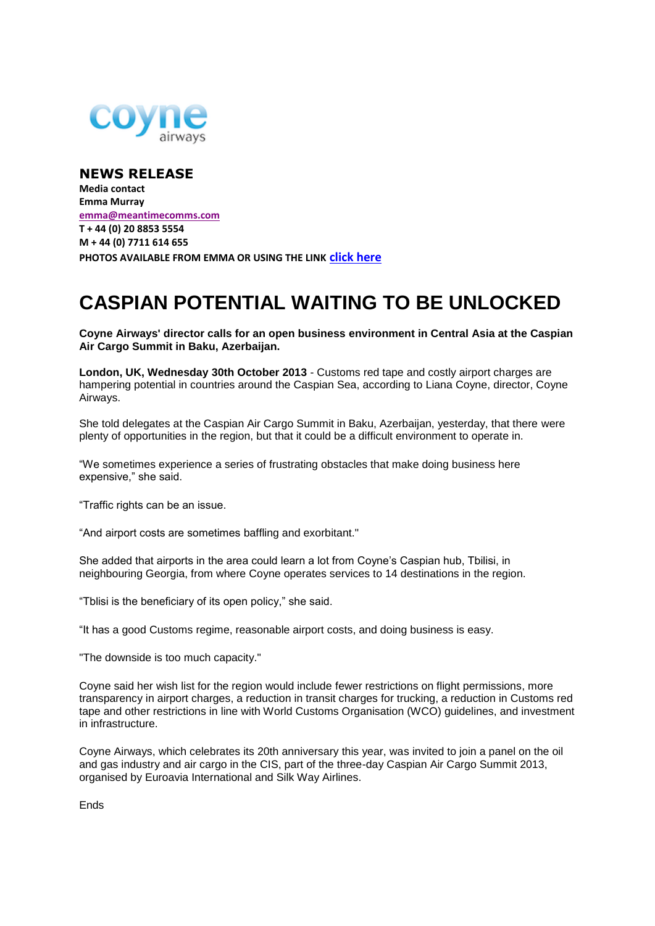

**NEWS RELEASE Media contact Emma Murray [emma@meantimecomms.com](mailto:emma@meantimecomms.com) T + 44 (0) 20 8853 5554 M + 44 (0) 7711 614 655 PHOTOS AVAILABLE FROM EMMA OR USING THE LINK [click here](http://bit.ly/17ua6OH)**

## **CASPIAN POTENTIAL WAITING TO BE UNLOCKED**

**Coyne Airways' director calls for an open business environment in Central Asia at the Caspian Air Cargo Summit in Baku, Azerbaijan.**

**London, UK, Wednesday 30th October 2013** - Customs red tape and costly airport charges are hampering potential in countries around the Caspian Sea, according to Liana Coyne, director, Coyne Airways.

She told delegates at the Caspian Air Cargo Summit in Baku, Azerbaijan, yesterday, that there were plenty of opportunities in the region, but that it could be a difficult environment to operate in.

"We sometimes experience a series of frustrating obstacles that make doing business here expensive," she said.

"Traffic rights can be an issue.

"And airport costs are sometimes baffling and exorbitant."

She added that airports in the area could learn a lot from Coyne's Caspian hub, Tbilisi, in neighbouring Georgia, from where Coyne operates services to 14 destinations in the region.

"Tblisi is the beneficiary of its open policy," she said.

"It has a good Customs regime, reasonable airport costs, and doing business is easy.

"The downside is too much capacity."

Coyne said her wish list for the region would include fewer restrictions on flight permissions, more transparency in airport charges, a reduction in transit charges for trucking, a reduction in Customs red tape and other restrictions in line with World Customs Organisation (WCO) guidelines, and investment in infrastructure.

Coyne Airways, which celebrates its 20th anniversary this year, was invited to join a panel on the oil and gas industry and air cargo in the CIS, part of the three-day Caspian Air Cargo Summit 2013, organised by Euroavia International and Silk Way Airlines.

Ends